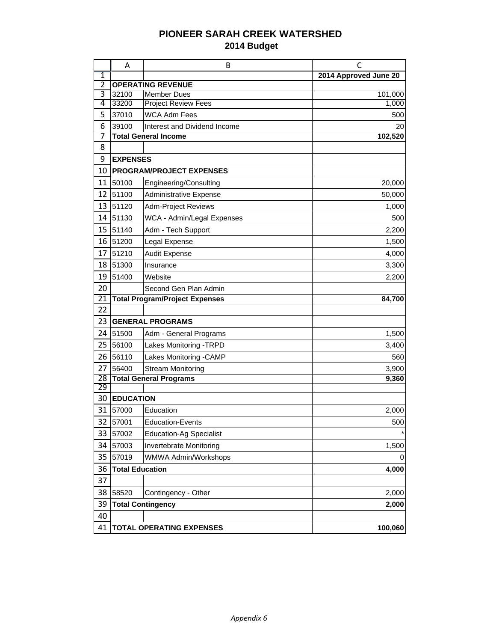## **PIONEER SARAH CREEK WATERSHED 2014 Budget**

|                       | A                                          | B                                                | C                     |  |  |  |  |
|-----------------------|--------------------------------------------|--------------------------------------------------|-----------------------|--|--|--|--|
| $\overline{1}$        |                                            |                                                  | 2014 Approved June 20 |  |  |  |  |
| $\overline{2}$<br>3   |                                            | <b>OPERATING REVENUE</b>                         |                       |  |  |  |  |
| 4                     | 32100<br>33200                             | <b>Member Dues</b><br><b>Project Review Fees</b> | 101,000<br>1,000      |  |  |  |  |
| 5                     | 37010                                      | <b>WCA Adm Fees</b>                              | 500                   |  |  |  |  |
| 6                     | 39100                                      | Interest and Dividend Income                     | 20                    |  |  |  |  |
| 7                     |                                            | <b>Total General Income</b>                      | 102,520               |  |  |  |  |
| 8                     |                                            |                                                  |                       |  |  |  |  |
| 9                     | <b>EXPENSES</b>                            |                                                  |                       |  |  |  |  |
| 10                    |                                            | <b>PROGRAM/PROJECT EXPENSES</b>                  |                       |  |  |  |  |
| 11                    | 50100                                      | Engineering/Consulting                           | 20,000                |  |  |  |  |
| 12                    | 51100                                      | Administrative Expense                           | 50,000                |  |  |  |  |
| 13                    | 51120                                      | <b>Adm-Project Reviews</b>                       | 1,000                 |  |  |  |  |
| 14                    | 51130                                      | WCA - Admin/Legal Expenses                       | 500                   |  |  |  |  |
| 15                    | 51140                                      | Adm - Tech Support                               | 2,200                 |  |  |  |  |
| 16                    | 51200                                      | Legal Expense                                    | 1,500                 |  |  |  |  |
| 17                    | 51210                                      | <b>Audit Expense</b>                             | 4,000                 |  |  |  |  |
| 18                    | 51300                                      | Insurance                                        | 3,300                 |  |  |  |  |
| 19                    | 51400                                      | Website                                          | 2,200                 |  |  |  |  |
| 20                    |                                            | Second Gen Plan Admin                            |                       |  |  |  |  |
| 21                    |                                            | <b>Total Program/Project Expenses</b>            | 84,700                |  |  |  |  |
| 22                    |                                            |                                                  |                       |  |  |  |  |
| 23                    |                                            | <b>GENERAL PROGRAMS</b>                          |                       |  |  |  |  |
| 24                    | 51500                                      | Adm - General Programs                           | 1,500                 |  |  |  |  |
| 25                    | 56100                                      | Lakes Monitoring -TRPD                           | 3,400                 |  |  |  |  |
| 26                    | 56110                                      | Lakes Monitoring -CAMP                           | 560                   |  |  |  |  |
| 27                    | 56400                                      | <b>Stream Monitoring</b>                         | 3,900                 |  |  |  |  |
| $\overline{28}$<br>29 |                                            | <b>Total General Programs</b>                    | 9,360                 |  |  |  |  |
| 30                    | <b>EDUCATION</b>                           |                                                  |                       |  |  |  |  |
| 31                    | 57000                                      | Education                                        | 2,000                 |  |  |  |  |
|                       | 32 57001                                   | <b>Education-Events</b>                          | 500                   |  |  |  |  |
| 33                    | 57002                                      | <b>Education-Ag Specialist</b>                   |                       |  |  |  |  |
| 34                    | 57003                                      | Invertebrate Monitoring                          | 1,500                 |  |  |  |  |
| 35                    | 57019                                      | WMWA Admin/Workshops                             | 0                     |  |  |  |  |
| 36                    | <b>Total Education</b>                     |                                                  | 4,000                 |  |  |  |  |
| 37                    |                                            |                                                  |                       |  |  |  |  |
| 38                    | 58520                                      | Contingency - Other                              | 2,000                 |  |  |  |  |
| 39                    |                                            | <b>Total Contingency</b>                         | 2,000                 |  |  |  |  |
| 40                    |                                            |                                                  |                       |  |  |  |  |
| 41                    | <b>TOTAL OPERATING EXPENSES</b><br>100,060 |                                                  |                       |  |  |  |  |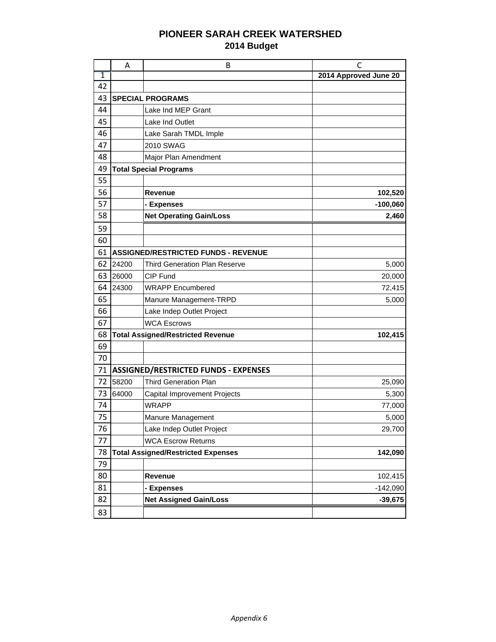## **PIONEER SARAH CREEK WATERSHED 2014 Budget**

|                | A                                          | B                                           | С                     |  |  |  |  |  |  |
|----------------|--------------------------------------------|---------------------------------------------|-----------------------|--|--|--|--|--|--|
| $\overline{1}$ |                                            |                                             | 2014 Approved June 20 |  |  |  |  |  |  |
| 42             |                                            |                                             |                       |  |  |  |  |  |  |
| 43             | <b>SPECIAL PROGRAMS</b>                    |                                             |                       |  |  |  |  |  |  |
| 44             |                                            | Lake Ind MEP Grant                          |                       |  |  |  |  |  |  |
| 45             |                                            | Lake Ind Outlet                             |                       |  |  |  |  |  |  |
| 46             |                                            | Lake Sarah TMDL Imple                       |                       |  |  |  |  |  |  |
| 47             |                                            | 2010 SWAG                                   |                       |  |  |  |  |  |  |
| 48             |                                            | Major Plan Amendment                        |                       |  |  |  |  |  |  |
| 49             | <b>Total Special Programs</b>              |                                             |                       |  |  |  |  |  |  |
| 55             |                                            |                                             |                       |  |  |  |  |  |  |
| 56             |                                            | <b>Revenue</b>                              | 102,520               |  |  |  |  |  |  |
| 57             |                                            | - Expenses                                  | $-100,060$            |  |  |  |  |  |  |
| 58             |                                            | <b>Net Operating Gain/Loss</b>              | 2,460                 |  |  |  |  |  |  |
| 59             |                                            |                                             |                       |  |  |  |  |  |  |
| 60             |                                            |                                             |                       |  |  |  |  |  |  |
| 61             | <b>ASSIGNED/RESTRICTED FUNDS - REVENUE</b> |                                             |                       |  |  |  |  |  |  |
| 62             | 24200                                      | Third Generation Plan Reserve               | 5,000                 |  |  |  |  |  |  |
| 63             | 26000                                      | CIP Fund                                    | 20,000                |  |  |  |  |  |  |
| 64             | 24300                                      | <b>WRAPP Encumbered</b>                     | 72,415                |  |  |  |  |  |  |
| 65             |                                            | Manure Management-TRPD                      | 5,000                 |  |  |  |  |  |  |
| 66             |                                            | Lake Indep Outlet Project                   |                       |  |  |  |  |  |  |
| 67             |                                            | <b>WCA Escrows</b>                          |                       |  |  |  |  |  |  |
| 68             |                                            | <b>Total Assigned/Restricted Revenue</b>    | 102,415               |  |  |  |  |  |  |
| 69             |                                            |                                             |                       |  |  |  |  |  |  |
| 70             |                                            |                                             |                       |  |  |  |  |  |  |
| 71             |                                            | <b>ASSIGNED/RESTRICTED FUNDS - EXPENSES</b> |                       |  |  |  |  |  |  |
| 72             | 58200                                      | <b>Third Generation Plan</b>                | 25,090                |  |  |  |  |  |  |
| 73             | 64000                                      | <b>Capital Improvement Projects</b>         | 5,300                 |  |  |  |  |  |  |
| 74             |                                            | <b>WRAPP</b>                                | 77,000                |  |  |  |  |  |  |
| 75             |                                            | Manure Management                           | 5,000                 |  |  |  |  |  |  |
| 76             |                                            | Lake Indep Outlet Project                   | 29,700                |  |  |  |  |  |  |
| 77             |                                            | <b>WCA Escrow Returns</b>                   |                       |  |  |  |  |  |  |
| 78             |                                            | <b>Total Assigned/Restricted Expenses</b>   | 142,090               |  |  |  |  |  |  |
| 79             |                                            |                                             |                       |  |  |  |  |  |  |
| 80             |                                            | Revenue                                     | 102,415               |  |  |  |  |  |  |
| 81             |                                            | - Expenses                                  | $-142,090$            |  |  |  |  |  |  |
| 82             | <b>Net Assigned Gain/Loss</b>              |                                             |                       |  |  |  |  |  |  |
| 83             |                                            |                                             |                       |  |  |  |  |  |  |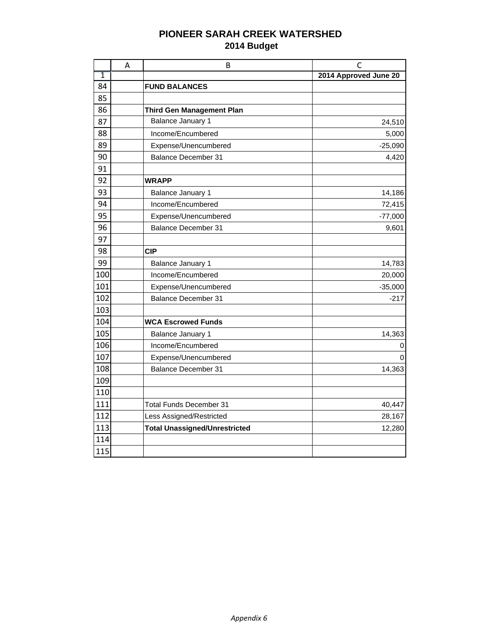## **PIONEER SARAH CREEK WATERSHED 2014 Budget**

|                | Α | B                                    | C                     |
|----------------|---|--------------------------------------|-----------------------|
| $\overline{1}$ |   |                                      | 2014 Approved June 20 |
| 84             |   | <b>FUND BALANCES</b>                 |                       |
| 85             |   |                                      |                       |
| 86             |   | <b>Third Gen Management Plan</b>     |                       |
| 87             |   | Balance January 1                    | 24,510                |
| 88             |   | Income/Encumbered                    | 5,000                 |
| 89             |   | Expense/Unencumbered                 | $-25,090$             |
| 90             |   | <b>Balance December 31</b>           | 4,420                 |
| 91             |   |                                      |                       |
| 92             |   | <b>WRAPP</b>                         |                       |
| 93             |   | Balance January 1                    | 14,186                |
| 94             |   | Income/Encumbered                    | 72,415                |
| 95             |   | Expense/Unencumbered                 | $-77,000$             |
| 96             |   | <b>Balance December 31</b>           | 9,601                 |
| 97             |   |                                      |                       |
| 98             |   | <b>CIP</b>                           |                       |
| 99             |   | Balance January 1                    | 14,783                |
| 100            |   | Income/Encumbered                    | 20,000                |
| 101            |   | Expense/Unencumbered                 | $-35,000$             |
| 102            |   | <b>Balance December 31</b>           | $-217$                |
| 103            |   |                                      |                       |
| 104            |   | <b>WCA Escrowed Funds</b>            |                       |
| 105            |   | Balance January 1                    | 14,363                |
| 106            |   | Income/Encumbered                    | 0                     |
| 107            |   | Expense/Unencumbered                 | O                     |
| 108            |   | <b>Balance December 31</b>           | 14,363                |
| 109            |   |                                      |                       |
| 110            |   |                                      |                       |
| 111            |   | <b>Total Funds December 31</b>       | 40,447                |
| 112            |   | Less Assigned/Restricted             | 28,167                |
| 113            |   | <b>Total Unassigned/Unrestricted</b> | 12,280                |
| 114            |   |                                      |                       |
| 115            |   |                                      |                       |